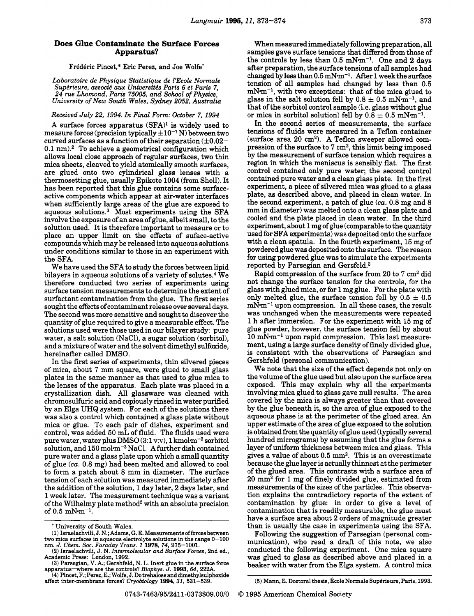Fr6d6ric Pincet," Eric Perez, and Joe **Wolfet** 

*Laboratoire de Physique Statistique de YEcole Normale*  Supérieure, associé aux Universités Paris 6 et Paris 7, *24 rue Lhomond, Paris 75005, and School of Physics, University of New South Wales, Sydney 2052, Australia* 

*Received July 22, 1994. In Final Form: October 7, 1994* 

A surface forces apparatus  $(SFA)^1$  is widely used to measure forces (precision typically  $\pm 10^{-7}$  N) between two curved surfaces as a function of their separation  $(\pm 0.02 0.1$  nm).<sup>2</sup> To achieve a geometrical configuration which allows local close approach of regular surfaces, two thin mica sheets, cleaved to yield atomically smooth surfaces, are glued onto two cylindrical glass lenses with a thermosetting glue, usually Epikote 1004 (from Shell). It has been reported that this glue contains some surfaceactive components which appear at air-water interfaces when sufficiently large areas of the glue are exposed to aqueous solutions. $3$  Most experiments using the SFA involve the exposure of an area of glue, albeit small, to the solution used. It is therefore important to measure or to place an upper limit on the effects of suface-active compounds which may be released into aqueous solutions under conditions similar to those in an experiment with the SFA.

We have used the SFA to study the forces between lipid bilayers in aqueous solutions of a variety of solutes.<sup>4</sup> We therefore conducted two series of experiments using surface tension measurements to determine the extent of surfactant contamination from the glue. The first series sought the effects of contaminant release over several days. The second was more sensitive and sought to discover the quantity of glue required to give a measurable effect. The solutions used were those used in our bilayer study: pure water, a salt solution (NaCl), a sugar solution (sorbitol), and a mixture of water and the solvent dimethyl sulfoxide, hereinafter called DMSO.

In the first series of experiments, thin silvered pieces of mica, about 7 mm square, were glued to small glass plates in the same manner as that used to glue mica to the lenses of the apparatus. Each plate was placed in a crystallization dish. All glassware was cleaned with chromosulfuric acid and copiously rinsed in water purified by an Elga UHQ system. For each of the solutions there was also a control which contained a glass plate without mica or glue. To each pair of dishes, experiment and control, was added **50** mL of fluid. The fluids used were pure water, water plus  $DMSO(3:1 v.v)$ , 1 kmol $m^{-3}$  sorbitol solution, and  $150$  mol $\text{m}^{-3}$  NaCl. A further dish contained pure water and a glass plate upon which a small quantity of glue *(ca.* 0.8 mg) had been melted and allowed to cool to form a patch about 8 mm in diameter. The surface tension of each solution was measured immediately after the addition of the solution, 1 day later, 2 days later, and 1 week later. The measurement technique was a variant of the Wilhelmy plate method<sup>5</sup> with an absolute precision of  $0.5 \, \text{mN-m}^{-1}$ .

When measured immediately following preparation, all samples gave surface tensions that differed from those of the controls by less than  $0.5$  mN $\cdot$ m<sup>-1</sup>. One and 2 days after preparation, the surface tensions of all samples had changed by less than 0.5 **mNm-l.** ARer 1 week the surface tension of all samples had changed by less than **0.5**   $mN-m^{-1}$ , with two exceptions: that of the mica glued to glass in the salt solution fell by  $0.8 \pm 0.5$  mN $\text{m}^{-1}$ , and that of the sorbitol control sample (i.e. glass without glue or mica in sorbitol solution) fell by  $0.\bar{8} \pm 0.5$   $mNm^{-1}$ 

In the second series of measurements, the surface tensions of fluids were measured in a Teflon container (surface area **20** cm2). A Teflon sweeper allowed compression of the surface to 7 cm2, this limit being imposed by the measurement of surface tension which requires a region in which the meniscus is sensibly flat. The first control contained only pure water; the second control contained pure water and a clean glass plate. In the first experiment, a piece of silvered mica was glued to a glass plate, as described above, and placed in clean water. In the second experiment, a patch of glue *(ca.* 0.8 mg and 8 mm in diameter) was melted onto a clean glass plate and cooled and the plate placed in clean water. In the third experiment, about 1 mg of glue (comparable to the quantity used for SFA experiments) was deposited onto the surface with a clean spatula. In the fourth experiment, 15 mg of powdered glue was deposited onto the surface. The reason for using powdered glue was to simulate the experiments reported by Parsegian and Gersfeld.<sup>3</sup>

Rapid compression of the surface from 20 to 7 cm2 did not change the surface tension for the controls, for the glass with glued mica, or for 1 mg glue. For the plate with only melted glue, the surface tension fell by  $0.5 \pm 0.5$  $mN·m<sup>-1</sup>$  upon compression. In all these cases, the result was unchanged when the measurements were repeated 1 h after immersion. For the experiment with **15** mg of glue powder, however, the surface tension fell by about  $10 \text{ mNm}^{-1}$  upon rapid compression. This last measurement, using a large surface density of finely divided glue, is consistent with the observations of Parsegian and Gershfeld (personal communication).

We note that the size of the effect depends not only on the volume of the glue used but also upon the surface area exposed. This may explain why all the experiments involving mica glued to glass gave null results. The area covered by the mica is always greater than that covered by the glue beneath it, so the area of glue exposed to the aqueous phase is at the perimeter of the glued area. **An**  upper estimate of the area of glue exposed to the solution is obtained from the quantity of glue used (typically several hundred micrograms) by assuming that the glue forms a layer of uniform thickness between mica and glass. This gives a value of about **0.5** mm2. This is an overestimate because the glue layer is actually thinnest at the perimeter of the glued area. This contrasts with a surface area of 20 mm2 for 1 mg of finely divided glue, estimated from measurements of the sizes of the particles. This observation explains the contradictory reports of the extent of contamination by glue: in order to give a level of contamination that is readily measurable, the glue must have a surface area about **2** orders of magnitude greater than is usually the case in experiments using the SFA.

Following the suggestion of Parsegian (personal communication), who read a draft of this note, we also conducted the following experiment. One mica square was glued to glass as described above and placed in a beaker with water from the Elga system. A control mica

~ ~~ ~

t University of South Wales.

**<sup>(1)</sup>** Israelachvili, J. N.; Adams, G. E. Measurements offorces between two mica surfaces in aqueous electrolyte solutions in the range 0–100 nm. J. Chem. Soc. Faraday Trans. 1 1978, 74, 975–1001.<br>(2) Israelachvili, J. N. Intermolecular and Surface Forces, 2nd ed.,

Academic Press: London, 1992.

**<sup>(3)</sup>** Parsegian, V. A.; Gershfeld, N. L. Inert glue in the surface force apparatus-where are the controls? *Biophys.* J. **1993, 64,** 222A.

**<sup>(4)</sup>** F'incet, F.; Perez, E.; Wolfe, J. Dotrehalose and dimethylsulphoxide affect inter-membrane forces? *Cryobiology* **1994,** 31, 531-539.

<sup>(5)</sup> Mann, E. Doctoral thesis, École Normale Supérieure, Paris, 1993.